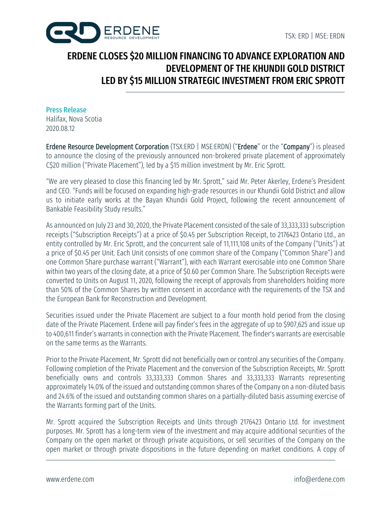

# ERDENE CLOSES \$20 MILLION FINANCING TO ADVANCE EXPLORATION AND DEVELOPMENT OF THE KHUNDII GOLD DISTRICT LED BY \$15 MILLION STRATEGIC INVESTMENT FROM ERIC SPROTT

## Press Release

Halifax, Nova Scotia 2020.08.12

Erdene Resource Development Corporation (TSX:ERD | MSE:ERDN) ("Erdene" or the "Company") is pleased to announce the closing of the previously announced non-brokered private placement of approximately C\$20 million ("Private Placement"), led by a \$15 million investment by Mr. Eric Sprott.

"We are very pleased to close this financing led by Mr. Sprott," said Mr. Peter Akerley, Erdene's President and CEO. "Funds will be focused on expanding high-grade resources in our Khundii Gold District and allow us to initiate early works at the Bayan Khundii Gold Project, following the recent announcement of Bankable Feasibility Study results."

As announced on July 23 and 30, 2020, the Private Placement consisted of the sale of 33,333,333 subscription receipts ("Subscription Receipts") at a price of \$0.45 per Subscription Receipt, to 2176423 Ontario Ltd., an entity controlled by Mr. Eric Sprott, and the concurrent sale of 11,111,108 units of the Company ("Units") at a price of \$0.45 per Unit. Each Unit consists of one common share of the Company ("Common Share") and one Common Share purchase warrant ("Warrant"), with each Warrant exercisable into one Common Share within two years of the closing date, at a price of \$0.60 per Common Share. The Subscription Receipts were converted to Units on August 11, 2020, following the receipt of approvals from shareholders holding more than 50% of the Common Shares by written consent in accordance with the requirements of the TSX and the European Bank for Reconstruction and Development.

Securities issued under the Private Placement are subject to a four month hold period from the closing date of the Private Placement. Erdene will pay finder's fees in the aggregate of up to \$907,625 and issue up to 400,611 finder's warrantsin connection with the Private Placement. The finder's warrants are exercisable on the same terms as the Warrants.

Prior to the Private Placement, Mr. Sprott did not beneficially own or control any securities of the Company. Following completion of the Private Placement and the conversion of the Subscription Receipts, Mr. Sprott beneficially owns and controls 33,333,333 Common Shares and 33,333,333 Warrants representing approximately 14.0% of the issued and outstanding common shares of the Company on a non-diluted basis and 24.6% of the issued and outstanding common shares on a partially-diluted basis assuming exercise of the Warrants forming part of the Units.

Mr. Sprott acquired the Subscription Receipts and Units through 2176423 Ontario Ltd. for investment purposes. Mr. Sprott has a long-term view of the investment and may acquire additional securities of the Company on the open market or through private acquisitions, or sell securities of the Company on the open market or through private dispositions in the future depending on market conditions. A copy of